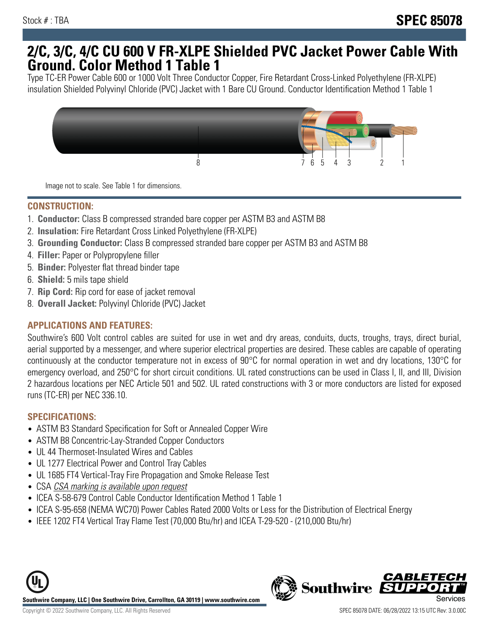## **2/C, 3/C, 4/C CU 600 V FR-XLPE Shielded PVC Jacket Power Cable With Ground. Color Method 1 Table 1**

Type TC-ER Power Cable 600 or 1000 Volt Three Conductor Copper, Fire Retardant Cross-Linked Polyethylene (FR-XLPE) insulation Shielded Polyvinyl Chloride (PVC) Jacket with 1 Bare CU Ground. Conductor Identification Method 1 Table 1



Image not to scale. See Table 1 for dimensions.

#### **CONSTRUCTION:**

- 1. **Conductor:** Class B compressed stranded bare copper per ASTM B3 and ASTM B8
- 2. **Insulation:** Fire Retardant Cross Linked Polyethylene (FR-XLPE)
- 3. **Grounding Conductor:** Class B compressed stranded bare copper per ASTM B3 and ASTM B8
- 4. **Filler:** Paper or Polypropylene filler
- 5. **Binder:** Polyester flat thread binder tape
- 6. **Shield:** 5 mils tape shield
- 7. **Rip Cord:** Rip cord for ease of jacket removal
- 8. **Overall Jacket:** Polyvinyl Chloride (PVC) Jacket

### **APPLICATIONS AND FEATURES:**

Southwire's 600 Volt control cables are suited for use in wet and dry areas, conduits, ducts, troughs, trays, direct burial, aerial supported by a messenger, and where superior electrical properties are desired. These cables are capable of operating continuously at the conductor temperature not in excess of 90°C for normal operation in wet and dry locations, 130°C for emergency overload, and 250°C for short circuit conditions. UL rated constructions can be used in Class I, II, and III, Division 2 hazardous locations per NEC Article 501 and 502. UL rated constructions with 3 or more conductors are listed for exposed runs (TC-ER) per NEC 336.10.

#### **SPECIFICATIONS:**

- ASTM B3 Standard Specification for Soft or Annealed Copper Wire
- ASTM B8 Concentric-Lay-Stranded Copper Conductors
- UL 44 Thermoset-Insulated Wires and Cables
- UL 1277 Electrical Power and Control Tray Cables
- UL 1685 FT4 Vertical-Tray Fire Propagation and Smoke Release Test
- CSA CSA marking is available upon request
- ICEA S-58-679 Control Cable Conductor Identification Method 1 Table 1
- ICEA S-95-658 (NEMA WC70) Power Cables Rated 2000 Volts or Less for the Distribution of Electrical Energy
- IEEE 1202 FT4 Vertical Tray Flame Test (70,000 Btu/hr) and ICEA T-29-520 (210,000 Btu/hr)



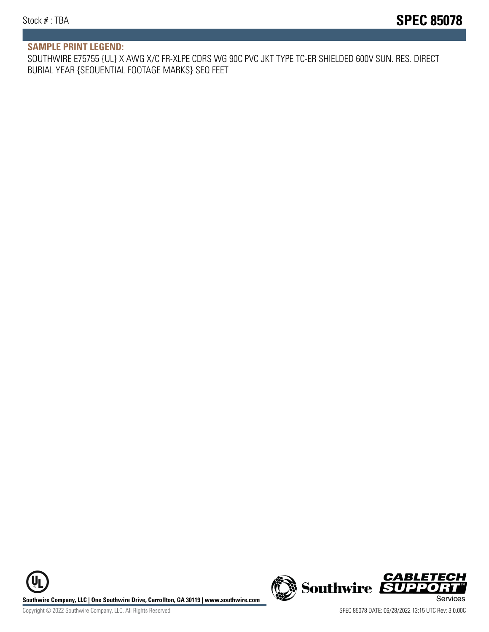#### **SAMPLE PRINT LEGEND:**

SOUTHWIRE E75755 {UL} X AWG X/C FR-XLPE CDRS WG 90C PVC JKT TYPE TC-ER SHIELDED 600V SUN. RES. DIRECT BURIAL YEAR {SEQUENTIAL FOOTAGE MARKS} SEQ FEET

**U Southwire Company, LLC | One Southwire Drive, Carrollton, GA 30119 | www.southwire.com (New Southwire SUPPORTI**